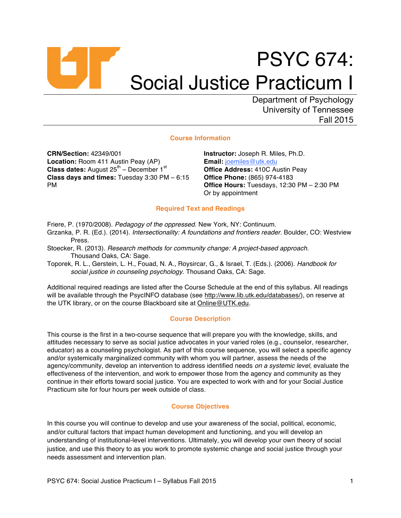# PSYC 674: Social Justice Practicum I

Department of Psychology University of Tennessee Fall 2015

# **Course Information**

**CRN/Section:** 42349/001 **Location:** Room 411 Austin Peay (AP) **Class dates:** August 25<sup>th</sup> – December 1st **Class days and times:** Tuesday 3:30 PM – 6:15 PM

**Instructor:** Joseph R. Miles, Ph.D. **Email:** joemiles@utk.edu **Office Address:** 410C Austin Peay **Office Phone:** (865) 974-4183 **Office Hours:** Tuesdays, 12:30 PM – 2:30 PM Or by appointment

# **Required Text and Readings**

- Friere, P. (1970/2008). *Pedagogy of the oppressed*. New York, NY: Continuum.
- Grzanka, P. R. (Ed.). (2014). *Intersectionality: A foundations and frontiers reader.* Boulder, CO: Westview Press.
- Stoecker, R. (2013). *Research methods for community change: A project-based approach*. Thousand Oaks, CA: Sage.
- Toporek, R. L., Gerstein, L. H., Fouad, N. A., Roysircar, G., & Israel, T. (Eds.). (2006). *Handbook for social justice in counseling psychology.* Thousand Oaks, CA: Sage.

Additional required readings are listed after the Course Schedule at the end of this syllabus. All readings will be available through the PsycINFO database (see http://www.lib.utk.edu/databases/), on reserve at the UTK library, or on the course Blackboard site at Online@UTK.edu.

# **Course Description**

This course is the first in a two-course sequence that will prepare you with the knowledge, skills, and attitudes necessary to serve as social justice advocates in your varied roles (e.g., counselor, researcher, educator) as a counseling psychologist. As part of this course sequence, you will select a specific agency and/or systemically marginalized community with whom you will partner, assess the needs of the agency/community, develop an intervention to address identified needs *on a systemic level*, evaluate the effectiveness of the intervention, and work to empower those from the agency and community as they continue in their efforts toward social justice. You are expected to work with and for your Social Justice Practicum site for four hours per week outside of class.

# **Course Objectives**

In this course you will continue to develop and use your awareness of the social, political, economic, and/or cultural factors that impact human development and functioning, and you will develop an understanding of institutional-level interventions. Ultimately, you will develop your own theory of social justice, and use this theory to as you work to promote systemic change and social justice through your needs assessment and intervention plan.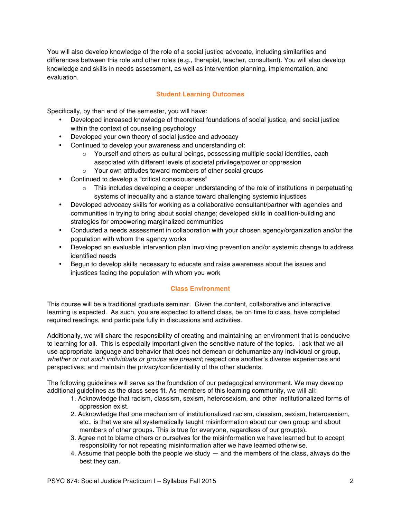You will also develop knowledge of the role of a social justice advocate, including similarities and differences between this role and other roles (e.g., therapist, teacher, consultant). You will also develop knowledge and skills in needs assessment, as well as intervention planning, implementation, and evaluation.

# **Student Learning Outcomes**

Specifically, by then end of the semester, you will have:

- Developed increased knowledge of theoretical foundations of social justice, and social justice within the context of counseling psychology
- Developed your own theory of social justice and advocacy
- Continued to develop your awareness and understanding of:
	- $\circ$  Yourself and others as cultural beings, possessing multiple social identities, each associated with different levels of societal privilege/power or oppression
	- o Your own attitudes toward members of other social groups
- Continued to develop a "critical consciousness"
	- $\circ$  This includes developing a deeper understanding of the role of institutions in perpetuating systems of inequality and a stance toward challenging systemic injustices
- Developed advocacy skills for working as a collaborative consultant/partner with agencies and communities in trying to bring about social change; developed skills in coalition-building and strategies for empowering marginalized communities
- Conducted a needs assessment in collaboration with your chosen agency/organization and/or the population with whom the agency works
- Developed an evaluable intervention plan involving prevention and/or systemic change to address identified needs
- Begun to develop skills necessary to educate and raise awareness about the issues and injustices facing the population with whom you work

# **Class Environment**

This course will be a traditional graduate seminar. Given the content, collaborative and interactive learning is expected. As such, you are expected to attend class, be on time to class, have completed required readings, and participate fully in discussions and activities.

Additionally, we will share the responsibility of creating and maintaining an environment that is conducive to learning for all. This is especially important given the sensitive nature of the topics. I ask that we all use appropriate language and behavior that does not demean or dehumanize any individual or group, *whether or not such individuals or groups are present*; respect one another's diverse experiences and perspectives; and maintain the privacy/confidentiality of the other students.

The following guidelines will serve as the foundation of our pedagogical environment. We may develop additional guidelines as the class sees fit. As members of this learning community, we will all:

- 1. Acknowledge that racism, classism, sexism, heterosexism, and other institutionalized forms of oppression exist.
- 2. Acknowledge that one mechanism of institutionalized racism, classism, sexism, heterosexism, etc., is that we are all systematically taught misinformation about our own group and about members of other groups. This is true for everyone, regardless of our group(s).
- 3. Agree not to blame others or ourselves for the misinformation we have learned but to accept responsibility for not repeating misinformation after we have learned otherwise.
- 4. Assume that people both the people we study and the members of the class, always do the best they can.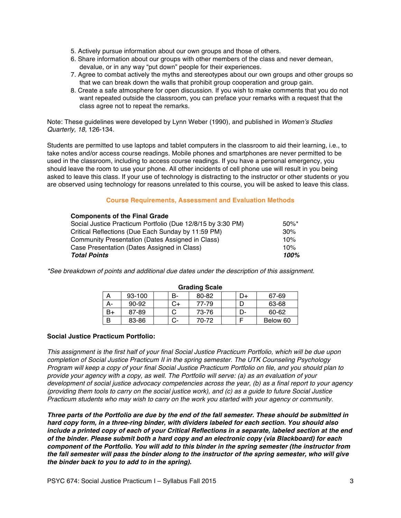- 5. Actively pursue information about our own groups and those of others.
- 6. Share information about our groups with other members of the class and never demean, devalue, or in any way "put down" people for their experiences.
- 7. Agree to combat actively the myths and stereotypes about our own groups and other groups so that we can break down the walls that prohibit group cooperation and group gain.
- 8. Create a safe atmosphere for open discussion. If you wish to make comments that you do not want repeated outside the classroom, you can preface your remarks with a request that the class agree not to repeat the remarks.

Note: These guidelines were developed by Lynn Weber (1990), and published in *Women's Studies Quarterly, 18,* 126-134.

Students are permitted to use laptops and tablet computers in the classroom to aid their learning, i.e., to take notes and/or access course readings. Mobile phones and smartphones are never permitted to be used in the classroom, including to access course readings. If you have a personal emergency, you should leave the room to use your phone. All other incidents of cell phone use will result in you being asked to leave this class. If your use of technology is distracting to the instructor or other students or you are observed using technology for reasons unrelated to this course, you will be asked to leave this class.

# **Course Requirements, Assessment and Evaluation Methods**

| <b>Components of the Final Grade</b>                        |          |
|-------------------------------------------------------------|----------|
| Social Justice Practicum Portfolio (Due 12/8/15 by 3:30 PM) | $50\%$ * |
| Critical Reflections (Due Each Sunday by 11:59 PM)          | 30%      |
| Community Presentation (Dates Assigned in Class)            | 10%      |
| Case Presentation (Dates Assigned in Class)                 | 10%      |
| <b>Total Points</b>                                         | 100%     |

*\*See breakdown of points and additional due dates under the description of this assignment.* 

| <b>UI dullly Judic</b> |        |  |    |       |  |    |          |  |
|------------------------|--------|--|----|-------|--|----|----------|--|
| А                      | 93-100 |  | в- | 80-82 |  | D+ | 67-69    |  |
| А-                     | 90-92  |  | C+ | 77-79 |  |    | 63-68    |  |
| B+                     | 87-89  |  |    | 73-76 |  | D- | 60-62    |  |
| B                      | 83-86  |  | C- | 70-72 |  |    | Below 60 |  |

#### **Grading Scale**

# **Social Justice Practicum Portfolio:**

*This assignment is the first half of your final Social Justice Practicum Portfolio, which will be due upon completion of Social Justice Practicum II in the spring semester. The UTK Counseling Psychology Program will keep a copy of your final Social Justice Practicum Portfolio on file, and you should plan to provide your agency with a copy, as well. The Portfolio will serve: (a) as an evaluation of your development of social justice advocacy competencies across the year, (b) as a final report to your agency (providing them tools to carry on the social justice work), and (c) as a guide to future Social Justice Practicum students who may wish to carry on the work you started with your agency or community.* 

*Three parts of the Portfolio are due by the end of the fall semester. These should be submitted in hard copy form, in a three-ring binder, with dividers labeled for each section. You should also include a printed copy of each of your Critical Reflections in a separate, labeled section at the end of the binder. Please submit both a hard copy and an electronic copy (via Blackboard) for each component of the Portfolio. You will add to this binder in the spring semester (the instructor from the fall semester will pass the binder along to the instructor of the spring semester, who will give the binder back to you to add to in the spring).*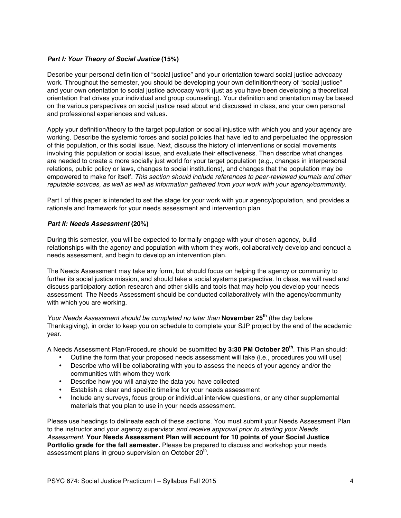# *Part I: Your Theory of Social Justice* **(15%)**

Describe your personal definition of "social justice" and your orientation toward social justice advocacy work. Throughout the semester, you should be developing your own definition/theory of "social justice" and your own orientation to social justice advocacy work (just as you have been developing a theoretical orientation that drives your individual and group counseling). Your definition and orientation may be based on the various perspectives on social justice read about and discussed in class, and your own personal and professional experiences and values.

Apply your definition/theory to the target population or social injustice with which you and your agency are working. Describe the systemic forces and social policies that have led to and perpetuated the oppression of this population, or this social issue. Next, discuss the history of interventions or social movements involving this population or social issue, and evaluate their effectiveness. Then describe what changes are needed to create a more socially just world for your target population (e.g., changes in interpersonal relations, public policy or laws, changes to social institutions), and changes that the population may be empowered to make for itself. *This section should include references to peer-reviewed journals and other reputable sources, as well as well as information gathered from your work with your agency/community.*

Part I of this paper is intended to set the stage for your work with your agency/population, and provides a rationale and framework for your needs assessment and intervention plan.

# *Part II: Needs Assessment* **(20%)**

During this semester, you will be expected to formally engage with your chosen agency, build relationships with the agency and population with whom they work, collaboratively develop and conduct a needs assessment, and begin to develop an intervention plan.

The Needs Assessment may take any form, but should focus on helping the agency or community to further its social justice mission, and should take a social systems perspective. In class, we will read and discuss participatory action research and other skills and tools that may help you develop your needs assessment. The Needs Assessment should be conducted collaboratively with the agency/community with which you are working.

*Your Needs Assessment should be completed no later than* **November 25th** (the day before Thanksgiving), in order to keep you on schedule to complete your SJP project by the end of the academic year.

A Needs Assessment Plan/Procedure should be submitted **by 3:30 PM October 20th**. This Plan should:

- Outline the form that your proposed needs assessment will take (i.e., procedures you will use)
- Describe who will be collaborating with you to assess the needs of your agency and/or the communities with whom they work
- Describe how you will analyze the data you have collected
- Establish a clear and specific timeline for your needs assessment
- Include any surveys, focus group or individual interview questions, or any other supplemental materials that you plan to use in your needs assessment.

Please use headings to delineate each of these sections. You must submit your Needs Assessment Plan to the instructor and your agency supervisor *and receive approval prior to starting your Needs Assessment.* **Your Needs Assessment Plan will account for 10 points of your Social Justice Portfolio grade for the fall semester.** Please be prepared to discuss and workshop your needs assessment plans in group supervision on October 20<sup>th</sup>.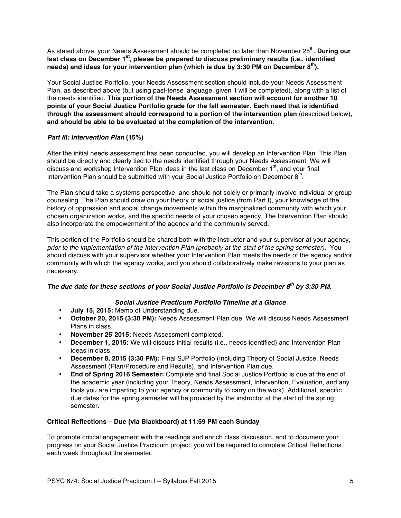As stated above, your Needs Assessment should be completed no later than November 25<sup>th</sup>. During our **last class on December 1st, please be prepared to discuss preliminary results (i.e., identified needs) and ideas for your intervention plan (which is due by 3:30 PM on December 8th).** 

Your Social Justice Portfolio, your Needs Assessment section should include your Needs Assessment Plan, as described above (but using past-tense language, given it will be completed), along with a list of the needs identified. **This portion of the Needs Assessment section will account for another 10 points of your Social Justice Portfolio grade for the fall semester. Each need that is identified through the assessment should correspond to a portion of the intervention plan** (described below), **and should be able to be evaluated at the completion of the intervention.**

# *Part III: Intervention Plan* **(15%)**

After the initial needs assessment has been conducted, you will develop an Intervention Plan. This Plan should be directly and clearly tied to the needs identified through your Needs Assessment. We will discuss and workshop Intervention Plan ideas in the last class on December  $1<sup>st</sup>$ , and your final Intervention Plan should be submitted with your Social Justice Portfolio on December  $8<sup>th</sup>$ .

The Plan should take a systems perspective, and should not solely or primarily involve individual or group counseling. The Plan should draw on your theory of social justice (from Part I), your knowledge of the history of oppression and social change movements within the marginalized community with which your chosen organization works, and the specific needs of your chosen agency. The Intervention Plan should also incorporate the empowerment of the agency and the community served.

This portion of the Portfolio should be shared both with the instructor and your supervisor at your agency, *prior to the implementation of the Intervention Plan (probably at the start of the spring semester)*. You should discuss with your supervisor whether your Intervention Plan meets the needs of the agency and/or community with which the agency works, and you should collaboratively make revisions to your plan as necessary.

# *The due date for these sections of your Social Justice Portfolio is December 8th by 3:30 PM.*

# *Social Justice Practicum Portfolio Timeline at a Glance*

- **July 15, 2015:** Memo of Understanding due.
- **October 20, 2015 (3:30 PM):** Needs Assessment Plan due. We will discuss Needs Assessment Plans in class.
- **November 25, 2015:** Needs Assessment completed.
- **December 1, 2015:** We will discuss initial results (i.e., needs identified) and Intervention Plan ideas in class.
- **December 8, 2015 (3:30 PM):** Final SJP Portfolio (Including Theory of Social Justice, Needs Assessment (Plan/Procedure and Results), and Intervention Plan due.
- **End of Spring 2016 Semester:** Complete and final Social Justice Portfolio is due at the end of the academic year (including your Theory, Needs Assessment, Intervention, Evaluation, and any tools you are imparting to your agency or community to carry on the work). Additional, specific due dates for the spring semester will be provided by the instructor at the start of the spring semester.

# **Critical Reflections – Due (via Blackboard) at 11:59 PM each Sunday**

To promote critical engagement with the readings and enrich class discussion, and to document your progress on your Social Justice Practicum project, you will be required to complete Critical Reflections each week throughout the semester.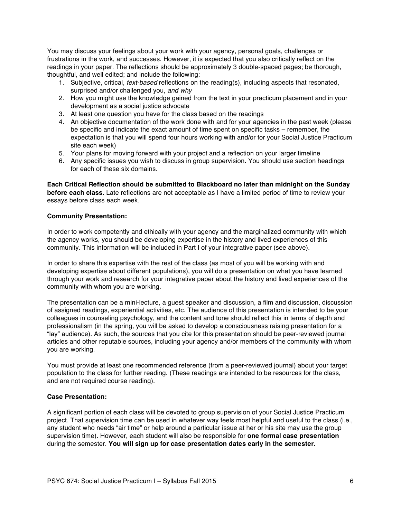You may discuss your feelings about your work with your agency, personal goals, challenges or frustrations in the work, and successes. However, it is expected that you also critically reflect on the readings in your paper. The reflections should be approximately 3 double-spaced pages; be thorough, thoughtful, and well edited; and include the following:

- 1. Subjective, critical, *text-based* reflections on the reading(s), including aspects that resonated, surprised and/or challenged you, *and why*
- 2. How you might use the knowledge gained from the text in your practicum placement and in your development as a social justice advocate
- 3. At least one question you have for the class based on the readings
- 4. An objective documentation of the work done with and for your agencies in the past week (please be specific and indicate the exact amount of time spent on specific tasks – remember, the expectation is that you will spend four hours working with and/or for your Social Justice Practicum site each week)
- 5. Your plans for moving forward with your project and a reflection on your larger timeline
- 6. Any specific issues you wish to discuss in group supervision. You should use section headings for each of these six domains.

**Each Critical Reflection should be submitted to Blackboard no later than midnight on the Sunday before each class.** Late reflections are not acceptable as I have a limited period of time to review your essays before class each week.

# **Community Presentation:**

In order to work competently and ethically with your agency and the marginalized community with which the agency works, you should be developing expertise in the history and lived experiences of this community. This information will be included in Part I of your integrative paper (see above).

In order to share this expertise with the rest of the class (as most of you will be working with and developing expertise about different populations), you will do a presentation on what you have learned through your work and research for your integrative paper about the history and lived experiences of the community with whom you are working.

The presentation can be a mini-lecture, a guest speaker and discussion, a film and discussion, discussion of assigned readings, experiential activities, etc. The audience of this presentation is intended to be your colleagues in counseling psychology, and the content and tone should reflect this in terms of depth and professionalism (in the spring, you will be asked to develop a consciousness raising presentation for a "lay" audience). As such, the sources that you cite for this presentation should be peer-reviewed journal articles and other reputable sources, including your agency and/or members of the community with whom you are working.

You must provide at least one recommended reference (from a peer-reviewed journal) about your target population to the class for further reading. (These readings are intended to be resources for the class, and are not required course reading).

# **Case Presentation:**

A significant portion of each class will be devoted to group supervision of your Social Justice Practicum project. That supervision time can be used in whatever way feels most helpful and useful to the class (i.e., any student who needs "air time" or help around a particular issue at her or his site may use the group supervision time). However, each student will also be responsible for **one formal case presentation** during the semester. **You will sign up for case presentation dates early in the semester.**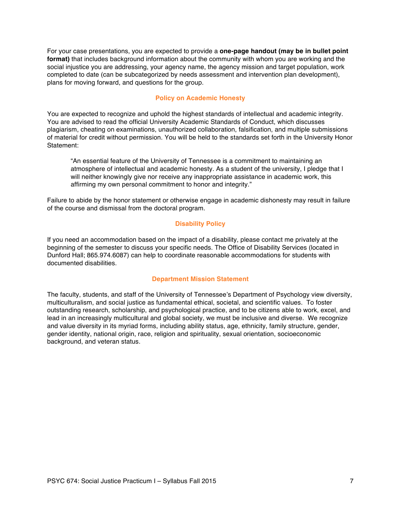For your case presentations, you are expected to provide a **one-page handout (may be in bullet point format)** that includes background information about the community with whom you are working and the social injustice you are addressing, your agency name, the agency mission and target population, work completed to date (can be subcategorized by needs assessment and intervention plan development), plans for moving forward, and questions for the group.

# **Policy on Academic Honesty**

You are expected to recognize and uphold the highest standards of intellectual and academic integrity. You are advised to read the official University Academic Standards of Conduct, which discusses plagiarism, cheating on examinations, unauthorized collaboration, falsification, and multiple submissions of material for credit without permission. You will be held to the standards set forth in the University Honor Statement:

"An essential feature of the University of Tennessee is a commitment to maintaining an atmosphere of intellectual and academic honesty. As a student of the university, I pledge that I will neither knowingly give nor receive any inappropriate assistance in academic work, this affirming my own personal commitment to honor and integrity."

Failure to abide by the honor statement or otherwise engage in academic dishonesty may result in failure of the course and dismissal from the doctoral program.

# **Disability Policy**

If you need an accommodation based on the impact of a disability, please contact me privately at the beginning of the semester to discuss your specific needs. The Office of Disability Services (located in Dunford Hall; 865.974.6087) can help to coordinate reasonable accommodations for students with documented disabilities.

# **Department Mission Statement**

The faculty, students, and staff of the University of Tennessee's Department of Psychology view diversity, multiculturalism, and social justice as fundamental ethical, societal, and scientific values. To foster outstanding research, scholarship, and psychological practice, and to be citizens able to work, excel, and lead in an increasingly multicultural and global society, we must be inclusive and diverse. We recognize and value diversity in its myriad forms, including ability status, age, ethnicity, family structure, gender, gender identity, national origin, race, religion and spirituality, sexual orientation, socioeconomic background, and veteran status.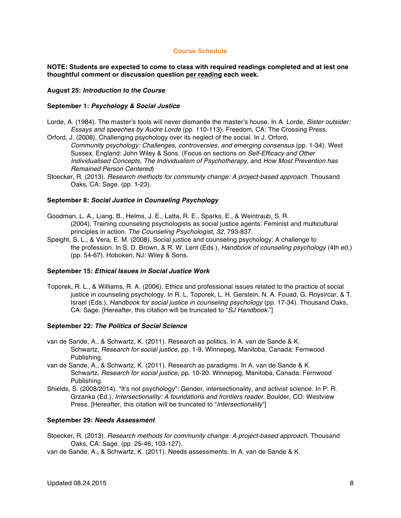## **Course Schedule**

**NOTE: Students are expected to come to class with required readings completed and at lest one thoughtful comment or discussion question per reading each week.**

## **August 25:** *Introduction to the Course*

#### **September 1:** *Psychology & Social Justice*

- Lorde, A. (1984). The master's tools will never dismantle the master's house. In A. Lorde, *Sister outsider: Essays and speeches by Audre Lorde* (pp. 110-113). Freedom, CA: The Crossing Press.
- Orford, J. (2008). Challenging psychology over its neglect of the social. In J. Orford, *Community psychology: Challenges, controversies, and emerging consensus* (pp. 1-34). West Sussex, England: John Wiley & Sons. (Focus on sections on *Self-Efficacy and Other Individualised Concepts, The Individualism of Psychotherapy,* and *How Most Prevention has Remained Person Centered*)
- Stoecker, R. (2013). *Research methods for community change: A project-based approach*. Thousand Oaks, CA: Sage. (pp. 1-23).

#### **September 8:** *Social Justice in Counseling Psychology*

- Goodman, L. A., Liang, B., Helms, J. E., Latta, R. E., Sparks, E., & Weintraub, S. R. (2004). Training counseling psychologists as social justice agents: Feminist and multicultural principles in action. *The Counseling Psychologist, 32*, 793-837.
- Speight, S. L., & Vera, E. M. (2008). Social justice and counseling psychology: A challenge to the profession. In S. D. Brown, & R. W. Lent (Eds.), *Handbook of counseling psychology* (4th ed.) (pp. 54-67). Hoboken, NJ: Wiley & Sons.

#### **September 15:** *Ethical Issues in Social Justice Work*

Toporek, R. L., & Williams, R. A. (2006). Ethics and professional issues related to the practice of social justice in counseling psychology. In R. L. Toporek, L. H. Gerstein, N. A. Fouad, G. Roysircar, & T. Israel (Eds.), *Handbook for social justice in counseling psychology* (pp. 17-34)*.* Thousand Oaks, CA: Sage. [Hereafter, this citation will be truncated to "*SJ Handbook*."]

#### **September 22:** *The Politics of Social Science*

- van de Sande, A., & Schwartz, K. (2011). Research as politics. In A. van de Sande & K. Schwartz, *Research for social justice*, pp. 1-9. Winnepeg, Manitoba, Canada: Fernwood Publishing.
- van de Sande, A., & Schwartz, K. (2011). Research as paradigms. In A. van de Sande & K. Schwartz, *Research for social justice*, pp. 10-20. Winnepeg, Manitoba, Canada: Fernwood Publishing.
- Shields, S. (2008/2014). "It's not psychology": Gender, intersectionality, and activist science. In P. R. Grzanka (Ed.), *Intersectionality: A foundations and frontiers reader*. Boulder, CO: Westview Press. [Hereafter, this citation will be truncated to "*Intersectionality*"]

#### **September 29:** *Needs Assessment*

- Stoecker, R. (2013). *Research methods for community change: A project-based approach*. Thousand Oaks, CA: Sage. (pp. 25-46; 103-127).
- van de Sande, A., & Schwartz, K. (2011). Needs assessments. In A. van de Sande & K.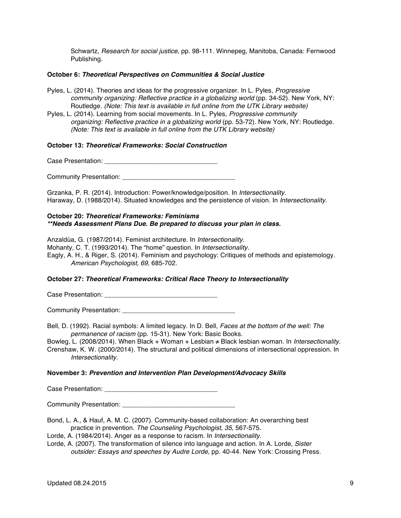Schwartz, *Research for social justice*, pp. 98-111. Winnepeg, Manitoba, Canada: Fernwood Publishing.

## **October 6:** *Theoretical Perspectives on Communities & Social Justice*

- Pyles, L. (2014). Theories and ideas for the progressive organizer. In L. Pyles, *Progressive community organizing: Reflective practice in a globalizing world* (pp. 34-52). New York, NY: Routledge. *(Note: This text is available in full online from the UTK Library website)*
- Pyles, L. (2014). Learning from social movements. In L. Pyles, *Progressive community organizing: Reflective practice in a globalizing world* (pp. 53-72). New York, NY: Routledge. *(Note: This text is available in full online from the UTK Library website)*

## **October 13:** *Theoretical Frameworks: Social Construction*

Case Presentation: **Example 2018** 

Community Presentation: \_\_\_\_\_\_\_\_\_\_\_\_\_\_\_\_\_\_\_\_\_\_\_\_\_\_\_\_\_\_\_

Grzanka, P. R. (2014). Introduction: Power/knowledge/position. In *Intersectionality.*  Haraway, D. (1988/2014). Situated knowledges and the persistence of vision. In *Intersectionality.*

# **October 20:** *Theoretical Frameworks: Feminisms \*\*Needs Assessment Plans Due. Be prepared to discuss your plan in class.*

Anzaldúa, G. (1987/2014). Feminist architecture. In *Intersectionality.* 

Mohanty, C. T. (1993/2014). The "home" question. In *Intersectionality.* 

Eagly, A. H., & Riger, S. (2014). Feminism and psychology: Critiques of methods and epistemology. *American Psychologist, 69,* 685-702.

# **October 27:** *Theoretical Frameworks: Critical Race Theory to Intersectionality*

Case Presentation: **Example 20** 

Community Presentation:

Bell, D. (1992). Racial symbols: A limited legacy. In D. Bell, *Faces at the bottom of the well: The permanence of racism* (pp. 15-31). New York: Basic Books.

Bowleg, L. (2008/2014). When Black + Woman + Lesbian ≠ Black lesbian woman. In *Intersectionality.* Crenshaw, K. W. (2000/2014). The structural and political dimensions of intersectional oppression. In *Intersectionality.*

#### **November 3:** *Prevention and Intervention Plan Development/Advocacy Skills*

Case Presentation: \_\_\_\_\_\_\_\_\_\_\_\_\_\_\_\_\_\_\_\_\_\_\_\_\_\_\_\_\_\_\_

Community Presentation:

- Bond, L. A., & Hauf, A. M. C. (2007). Community-based collaboration: An overarching best practice in prevention. *The Counseling Psychologist, 35*, 567-575.
- Lorde, A. (1984/2014). Anger as a response to racism. In *Intersectionality.*

Lorde, A. (2007). The transformation of silence into language and action. In A. Lorde, *Sister outsider: Essays and speeches by Audre Lorde*, pp. 40-44. New York: Crossing Press.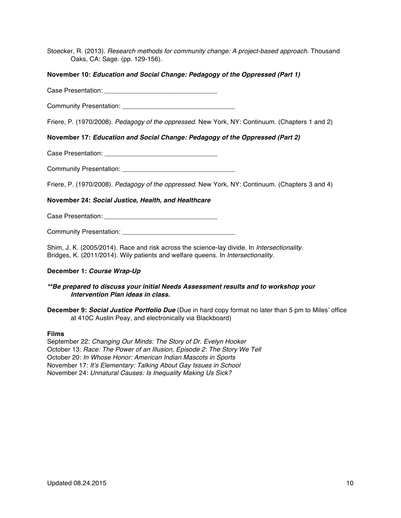Stoecker, R. (2013). *Research methods for community change: A project-based approach*. Thousand Oaks, CA: Sage. (pp. 129-156).

# **November 10:** *Education and Social Change: Pedagogy of the Oppressed (Part 1)*

Case Presentation: **Example 2018** 

Community Presentation: **Example 20** Figures 20 Figures 20 Figures 20 Figures 20 Figures 20 Figures 20 Figures 20 Figures 20 Figures 20 Figures 20 Figures 20 Figures 20 Figures 20 Figures 20 Figures 20 Figures 20 Figures 2

Friere, P. (1970/2008). *Pedagogy of the oppressed.* New York, NY: Continuum. (Chapters 1 and 2)

# **November 17:** *Education and Social Change: Pedagogy of the Oppressed (Part 2)*

Case Presentation: **Example 20** Figure 20 Figure 20 Figure 20 Figure 20 Figure 20 Figure 20 Figure 20 Figure 20 Figure 20 Figure 20 Figure 20 Figure 20 Figure 20 Figure 20 Figure 20 Figure 20 Figure 20 Figure 20 Figure 20

Community Presentation: **Example 20** 

Friere, P. (1970/2008). *Pedagogy of the oppressed.* New York, NY: Continuum. (Chapters 3 and 4)

# **November 24:** *Social Justice, Health, and Healthcare*

Case Presentation: **Example 20** 

Community Presentation: \_\_\_\_\_\_\_\_\_\_\_\_\_\_\_\_\_\_\_\_\_\_\_\_\_\_\_\_\_\_\_

Shim, J. K. (2005/2014). Race and risk across the science-lay divide. In *Intersectionality.* Bridges, K. (2011/2014). Wily patients and welfare queens. In *Intersectionality.* 

# **December 1:** *Course Wrap-Up*

# *\*\*Be prepared to discuss your initial Needs Assessment results and to workshop your Intervention Plan ideas in class.*

**December 9: Social Justice Portfolio Due** (Due in hard copy format no later than 5 pm to Miles' office at 410C Austin Peay, and electronically via Blackboard)

#### **Films**

September 22: *Changing Our Minds: The Story of Dr. Evelyn Hooker* October 13: *Race: The Power of an Illusion, Episode 2: The Story We Tell* October 20: *In Whose Honor: American Indian Mascots in Sports* November 17: *It's Elementary: Talking About Gay Issues in School* November 24: *Unnatural Causes: Is Inequality Making Us Sick?*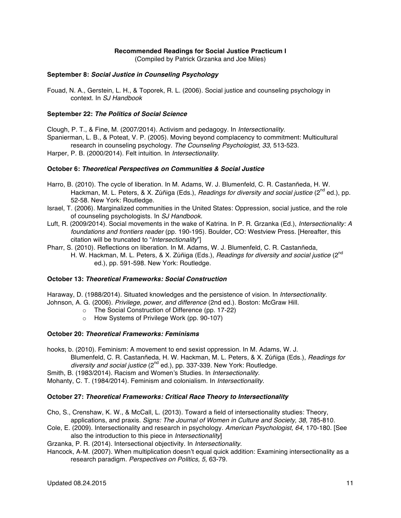# **Recommended Readings for Social Justice Practicum I**

(Compiled by Patrick Grzanka and Joe Miles)

## **September 8:** *Social Justice in Counseling Psychology*

Fouad, N. A., Gerstein, L. H., & Toporek, R. L. (2006). Social justice and counseling psychology in context. In *SJ Handbook*

## **September 22:** *The Politics of Social Science*

Clough, P. T., & Fine, M. (2007/2014). Activism and pedagogy. In *Intersectionality*. Spanierman, L. B., & Poteat, V. P. (2005). Moving beyond complacency to commitment: Multicultural research in counseling psychology. *The Counseling Psychologist, 33,* 513-523.

Harper, P. B. (2000/2014). Felt intuition. In *Intersectionality.*

## **October 6:** *Theoretical Perspectives on Communities & Social Justice*

- Harro, B. (2010). The cycle of liberation. In M. Adams, W. J. Blumenfeld, C. R. Castanñeda, H. W. Hackman, M. L. Peters, & X. Zúñiga (Eds.), *Readings for diversity and social justice* (2<sup>nd</sup> ed.), pp. 52-58. New York: Routledge.
- Israel, T. (2006). Marginalized communities in the United States: Oppression, social justice, and the role of counseling psychologists. In *SJ Handbook.*
- Luft, R. (2009/2014). Social movements in the wake of Katrina. In P. R. Grzanka (Ed.), *Intersectionality: A foundations and frontiers reader* (pp. 190-195). Boulder, CO: Westview Press. [Hereafter, this citation will be truncated to "*Intersectionality*"]
- Pharr, S. (2010). Reflections on liberation. In M. Adams, W. J. Blumenfeld, C. R. Castanñeda, H. W. Hackman, M. L. Peters, & X. Zúñiga (Eds.), *Readings for diversity and social justice* (2<sup>nd</sup> ed.), pp. 591-598. New York: Routledge.

# **October 13:** *Theoretical Frameworks: Social Construction*

Haraway, D. (1988/2014). Situated knowledges and the persistence of vision. In *Intersectionality.* Johnson, A. G. (2006). *Privilege, power, and difference* (2nd ed.). Boston: McGraw Hill.

- o The Social Construction of Difference (pp. 17-22)
- o How Systems of Privilege Work (pp. 90-107)

#### **October 20:** *Theoretical Frameworks: Feminisms*

hooks, b. (2010). Feminism: A movement to end sexist oppression. In M. Adams, W. J. Blumenfeld, C. R. Castanñeda, H. W. Hackman, M. L. Peters, & X. Zúñiga (Eds.), *Readings for*  diversity and social justice (2<sup>nd</sup> ed.), pp. 337-339. New York: Routledge.

Smith, B. (1983/2014). Racism and Women's Studies. In *Intersectionality.*  Mohanty, C. T. (1984/2014). Feminism and colonialism. In *Intersectionality.*

#### **October 27:** *Theoretical Frameworks: Critical Race Theory to Intersectionality*

- Cho, S., Crenshaw, K. W., & McCall, L. (2013). Toward a field of intersectionality studies: Theory, applications, and praxis. *Signs: The Journal of Women in Culture and Society, 38,* 785-810.
- Cole, E. (2009). Intersectionality and research in psychology. *American Psychologist, 64,* 170-180. [See also the introduction to this piece in *Intersectionality*]
- Grzanka, P. R. (2014). Intersectional objectivity. In *Intersectionality.*
- Hancock, A-M. (2007). When multiplication doesn't equal quick addition: Examining intersectionality as a research paradigm. *Perspectives on Politics, 5,* 63-79.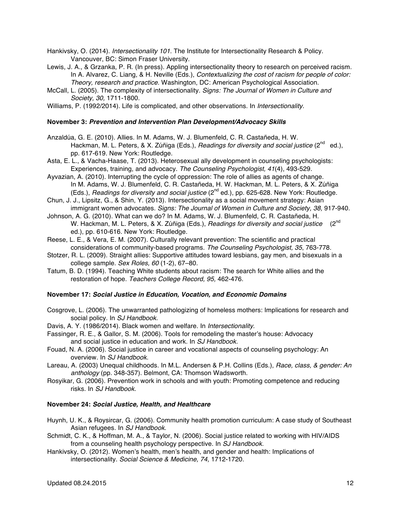- Hankivsky, O. (2014). *Intersectionality 101*. The Institute for Intersectionality Research & Policy. Vancouver, BC: Simon Fraser University.
- Lewis, J. A., & Grzanka, P. R. (In press). Appling intersectionality theory to research on perceived racism. In A. Alvarez, C. Liang, & H. Neville (Eds.), *Contextualizing the cost of racism for people of color: Theory, research and practice.* Washington, DC: American Psychological Association.
- McCall, L. (2005). The complexity of intersectionality. *Signs: The Journal of Women in Culture and Society, 30,* 1711-1800.
- Williams, P. (1992/2014). Life is complicated, and other observations. In *Intersectionality.*

#### **November 3:** *Prevention and Intervention Plan Development/Advocacy Skills*

Anzaldúa, G. E. (2010). Allies. In M. Adams, W. J. Blumenfeld, C. R. Castañeda, H. W. Hackman, M. L. Peters, & X. Zúñiga (Eds.), *Readings for diversity and social justice* (2<sup>nd</sup> ed.), pp. 617-619. New York: Routledge.

- Asta, E. L., & Vacha-Haase, T. (2013). Heterosexual ally development in counseling psychologists: Experiences, training, and advocacy. *The Counseling Psychologist, 41*(4), 493-529.
- Ayvazian, A. (2010). Interrupting the cycle of oppression: The role of allies as agents of change. In M. Adams, W. J. Blumenfeld, C. R. Castañeda, H. W. Hackman, M. L. Peters, & X. Zúñiga (Eds.), *Readings for diversity and social justice* (2<sup>nd</sup> ed.), pp. 625-628. New York: Routledge.
- Chun, J. J., Lipsitz, G., & Shin, Y. (2013). Intersectionality as a social movement strategy: Asian immigrant women advocates. *Signs: The Journal of Women in Culture and Society, 38,* 917-940.
- Johnson, A. G. (2010). What can we do? In M. Adams, W. J. Blumenfeld, C. R. Castañeda, H. W. Hackman, M. L. Peters, & X. Zúñiga (Eds.), *Readings for diversity and social justice* (2<sup>nd</sup>) ed.), pp. 610-616. New York: Routledge.
- Reese, L. E., & Vera, E. M. (2007). Culturally relevant prevention: The scientific and practical considerations of community-based programs. *The Counseling Psychologist, 35*, 763-778.
- Stotzer, R. L. (2009). Straight allies: Supportive attitudes toward lesbians, gay men, and bisexuals in a college sample. *Sex Roles, 60* (1-2), 67–80.
- Tatum, B. D. (1994). Teaching White students about racism: The search for White allies and the restoration of hope. *Teachers College Record, 95,* 462-476.

## **November 17:** *Social Justice in Education, Vocation, and Economic Domains*

- Cosgrove, L. (2006). The unwarranted pathologizing of homeless mothers: Implications for research and social policy. In *SJ Handbook.*
- Davis, A. Y. (1986/2014). Black women and welfare. In *Intersectionality.*
- Fassinger, R. E., & Gallor, S. M. (2006). Tools for remodeling the master's house: Advocacy and social justice in education and work. In *SJ Handbook.*
- Fouad, N. A. (2006). Social justice in career and vocational aspects of counseling psychology: An overview. In *SJ Handbook.*
- Lareau, A. (2003) Unequal childhoods. In M.L. Andersen & P.H. Collins (Eds.), *Race, class, & gender: An anthology* (pp. 348-357). Belmont, CA: Thomson Wadsworth.
- Rosyikar, G. (2006). Prevention work in schools and with youth: Promoting competence and reducing risks. In *SJ Handbook.*

#### **November 24:** *Social Justice, Health, and Healthcare*

- Huynh, U. K., & Roysircar, G. (2006). Community health promotion curriculum: A case study of Southeast Asian refugees. In *SJ Handbook.*
- Schmidt, C. K., & Hoffman, M. A., & Taylor, N. (2006). Social justice related to working with HIV/AIDS from a counseling health psychology perspective. In *SJ Handbook.*
- Hankivsky, O. (2012). Women's health, men's health, and gender and health: Implications of intersectionality. *Social Science & Medicine, 74,* 1712-1720.